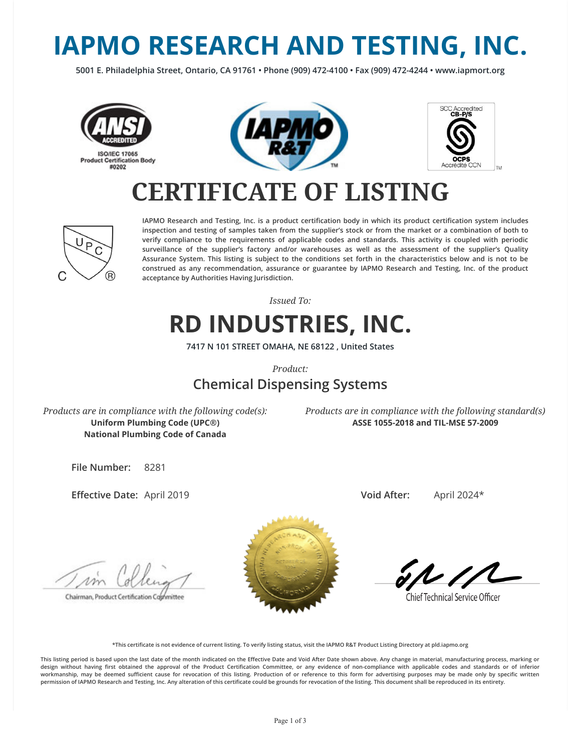# **IAPMO RESEARCH AND TESTING, INC.**

**5001 E. Philadelphia Street, Ontario, CA 91761 • Phone (909) 472-4100 • Fax (909) 472-4244 • www.iapmort.org**







### **CERTIFICATE OF LISTING**



IAPMO Research and Testing, Inc. is a product certification body in which its product certification system includes **inspection and testing of samples taken from the supplier's stock or from the market or a combination of both to verify compliance to the requirements of applicable codes and standards. This activity is coupled with periodic surveillance of the supplier's factory and/or warehouses as well as the assessment of the supplier's Quality Assurance System. This listing is subject to the conditions set forth in the characteristics below and is not to be construed as any recommendation, assurance or guarantee by IAPMO Research and Testing, Inc. of the product acceptance by Authorities Having Jurisdiction.**

*Issued To:*

## **RD INDUSTRIES, INC.**

**7417 N 101 STREET OMAHA, NE 68122 , United States**

*Product:*

#### **Chemical Dispensing Systems**

*Products are in compliance with the following code(s):* **Uniform Plumbing Code (UPC®) National Plumbing Code of Canada**

*Products are in compliance with the following standard(s)* **ASSE 1055-2018 and TIL-MSE 57-2009**

**File Number:** 8281

**Effective Date: April 2019** 

Chairman, Product Certification Committee



**Void After:** April 2024\*

**Chief Technical Service Officer** 

**\*This certicate is not evidence of current listing. To verify listing status, visit the IAPMO R&T Product Listing Directory at pld.iapmo.org**

This listing period is based upon the last date of the month indicated on the Effective Date and Void After Date shown above. Any change in material, manufacturing process, marking or design without having first obtained the approval of the Product Certification Committee, or any evidence of non-compliance with applicable codes and standards or of inferior workmanship, may be deemed sufficient cause for revocation of this listing. Production of or reference to this form for advertising purposes may be made only by specific written **permission of IAPMO Research and Testing, Inc. Any alteration of this certicate could be grounds for revocation of the listing. This document shall be reproduced in its entirety.**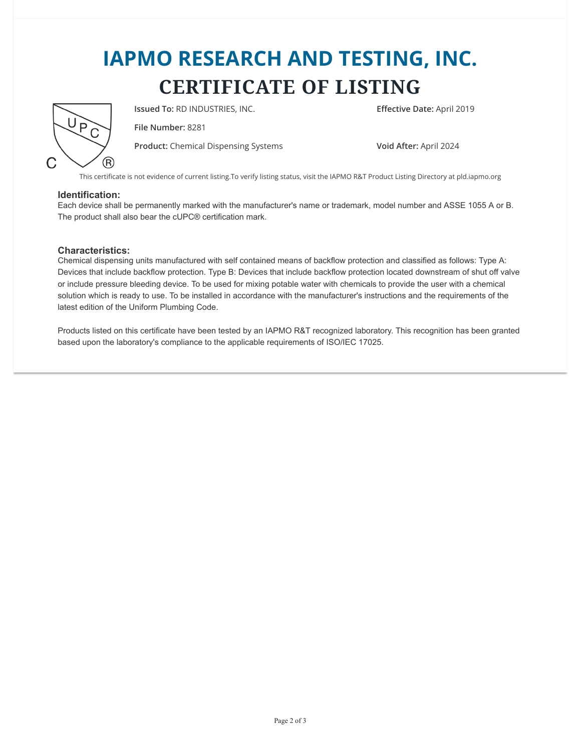## **IAPMO RESEARCH AND TESTING, INC. CERTIFICATE OF LISTING**



**Issued To:** RD INDUSTRIES, INC. **Effective Date:** April 2019

**File Number:** 8281

**Product:** Chemical Dispensing Systems **Void After:** April 2024

This certificate is not evidence of current listing.To verify listing status, visit the IAPMO R&T Product Listing Directory at pld.iapmo.org

#### **Identification:**

Each device shall be permanently marked with the manufacturer's name or trademark, model number and ASSE 1055 A or B. The product shall also bear the cUPC® certification mark.

#### **Characteristics:**

Chemical dispensing units manufactured with self contained means of backflow protection and classified as follows: Type A: Devices that include backflow protection. Type B: Devices that include backflow protection located downstream of shut off valve or include pressure bleeding device. To be used for mixing potable water with chemicals to provide the user with a chemical solution which is ready to use. To be installed in accordance with the manufacturer's instructions and the requirements of the latest edition of the Uniform Plumbing Code.

Products listed on this certificate have been tested by an IAPMO R&T recognized laboratory. This recognition has been granted based upon the laboratory's compliance to the applicable requirements of ISO/IEC 17025.